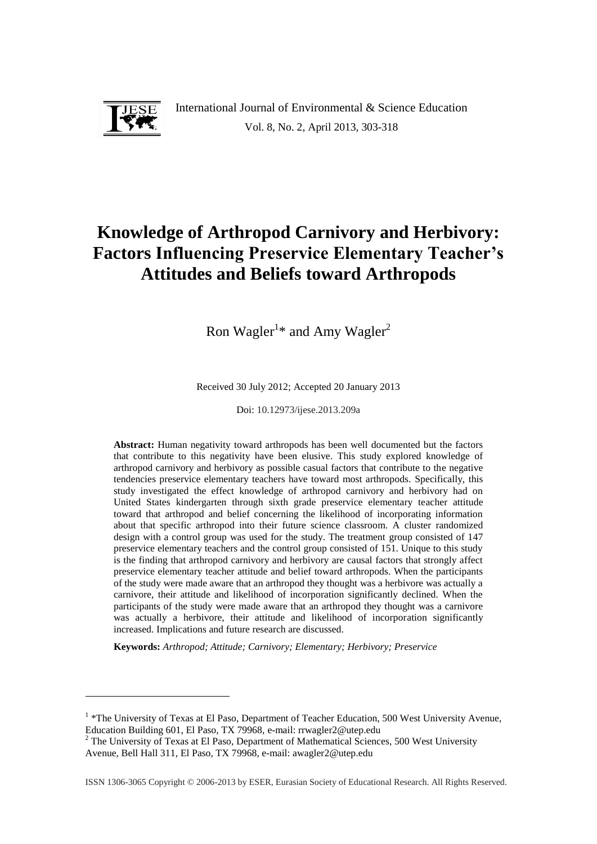

-

International Journal of Environmental & Science Education Vol. 8, No. 2, April 2013, 303-318

# **Knowledge of Arthropod Carnivory and Herbivory: Factors Influencing Preservice Elementary Teacher's Attitudes and Beliefs toward Arthropods**

Ron Wagler<sup>1\*</sup> and Amy Wagler<sup>2</sup>

Received 30 July 2012; Accepted 20 January 2013

Doi: 10.12973/ijese.2013.209a

**Abstract:** Human negativity toward arthropods has been well documented but the factors that contribute to this negativity have been elusive. This study explored knowledge of arthropod carnivory and herbivory as possible casual factors that contribute to the negative tendencies preservice elementary teachers have toward most arthropods. Specifically, this study investigated the effect knowledge of arthropod carnivory and herbivory had on United States kindergarten through sixth grade preservice elementary teacher attitude toward that arthropod and belief concerning the likelihood of incorporating information about that specific arthropod into their future science classroom. A cluster randomized design with a control group was used for the study. The treatment group consisted of 147 preservice elementary teachers and the control group consisted of 151. Unique to this study is the finding that arthropod carnivory and herbivory are causal factors that strongly affect preservice elementary teacher attitude and belief toward arthropods. When the participants of the study were made aware that an arthropod they thought was a herbivore was actually a carnivore, their attitude and likelihood of incorporation significantly declined. When the participants of the study were made aware that an arthropod they thought was a carnivore was actually a herbivore, their attitude and likelihood of incorporation significantly increased. Implications and future research are discussed.

**Keywords:** *Arthropod; Attitude; Carnivory; Elementary; Herbivory; Preservice*

<sup>&</sup>lt;sup>1</sup> \*The University of Texas at El Paso, Department of Teacher Education, 500 West University Avenue, Education Building 601, El Paso, TX 79968, e-mail: rrwagler2@utep.edu

<sup>&</sup>lt;sup>2</sup> The University of Texas at El Paso, Department of Mathematical Sciences, 500 West University Avenue, Bell Hall 311, El Paso, TX 79968, e-mail: awagler2@utep.edu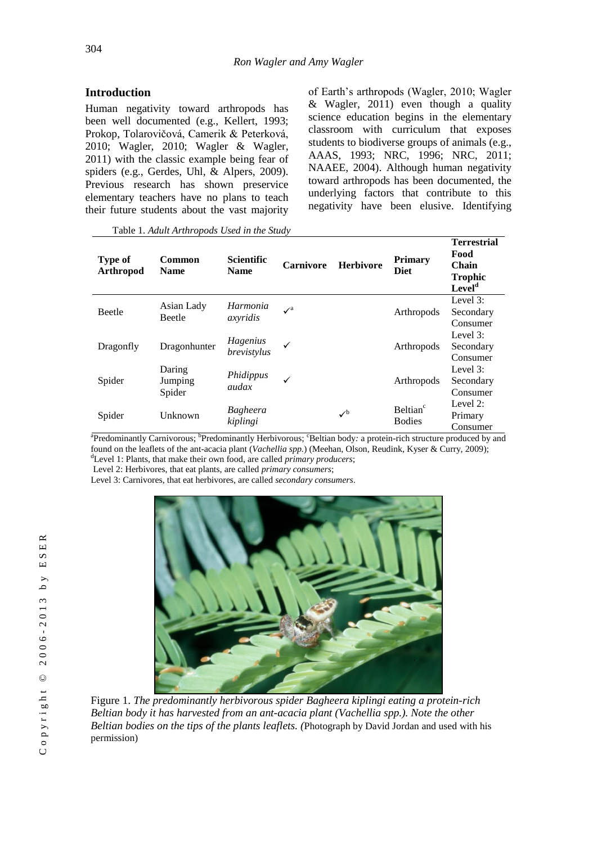## **Introduction**

Human negativity toward arthropods has been well documented (e.g., Kellert, 1993; Prokop, Tolarovičová, Camerik & Peterková, 2010; Wagler, 2010; Wagler & Wagler, 2011) with the classic example being fear of spiders (e.g., Gerdes, Uhl, & Alpers, 2009). Previous research has shown preservice elementary teachers have no plans to teach their future students about the vast majority

Table 1. *Adult Arthropods Used in the Study*

of Earth's arthropods (Wagler, 2010; Wagler & Wagler, 2011) even though a quality science education begins in the elementary classroom with curriculum that exposes students to biodiverse groups of animals (e.g., AAAS, 1993; NRC, 1996; NRC, 2011; NAAEE, 2004). Although human negativity toward arthropods has been documented, the underlying factors that contribute to this negativity have been elusive. Identifying

| <b>Type of</b><br>Arthropod | Common<br><b>Name</b>       | <b>Scientific</b><br><b>Name</b> | <b>Carnivore</b>      | <b>Herbivore</b>      | <b>Primary</b><br><b>Diet</b>         | <b>Terrestrial</b><br>Food<br>Chain<br><b>Trophic</b><br>Level <sup>d</sup> |
|-----------------------------|-----------------------------|----------------------------------|-----------------------|-----------------------|---------------------------------------|-----------------------------------------------------------------------------|
| <b>Beetle</b>               | Asian Lady<br><b>Beetle</b> | Harmonia<br>axyridis             | $\mathcal{V}^{\rm a}$ |                       | Arthropods                            | Level $3$ :<br>Secondary<br>Consumer                                        |
| Dragonfly                   | Dragonhunter                | Hagenius<br>brevistylus          | ✓                     |                       | Arthropods                            | Level $3$ :<br>Secondary<br>Consumer                                        |
| Spider                      | Daring<br>Jumping<br>Spider | Phidippus<br>audax               | ✓                     |                       | Arthropods                            | Level $3$ :<br>Secondary<br>Consumer                                        |
| Spider                      | Unknown                     | <b>Bagheera</b><br>kiplingi      |                       | $\mathcal{V}^{\rm b}$ | Beltian <sup>c</sup><br><b>Bodies</b> | Level $2$ :<br>Primary<br>Consumer                                          |

<sup>a</sup>Predominantly Carnivorous; <sup>b</sup>Predominantly Herbivorous; 'Beltian body: a protein-rich structure produced by and found on the leaflets of the ant-acacia plant (*Vachellia spp.*) (Meehan, Olson, Reudink, Kyser & Curry, 2009); <sup>d</sup>Level 1: Plants, that make their own food, are called *primary producers*;

Level 2: Herbivores, that eat plants, are called *primary consumers*;

Level 3: Carnivores, that eat herbivores, are called *secondary consumers*.



Figure 1. *The predominantly herbivorous spider Bagheera kiplingi eating a protein-rich Beltian body it has harvested from an ant-acacia plant (Vachellia spp.). Note the other Beltian bodies on the tips of the plants leaflets. (*Photograph by David Jordan and used with his permission)

 $\propto$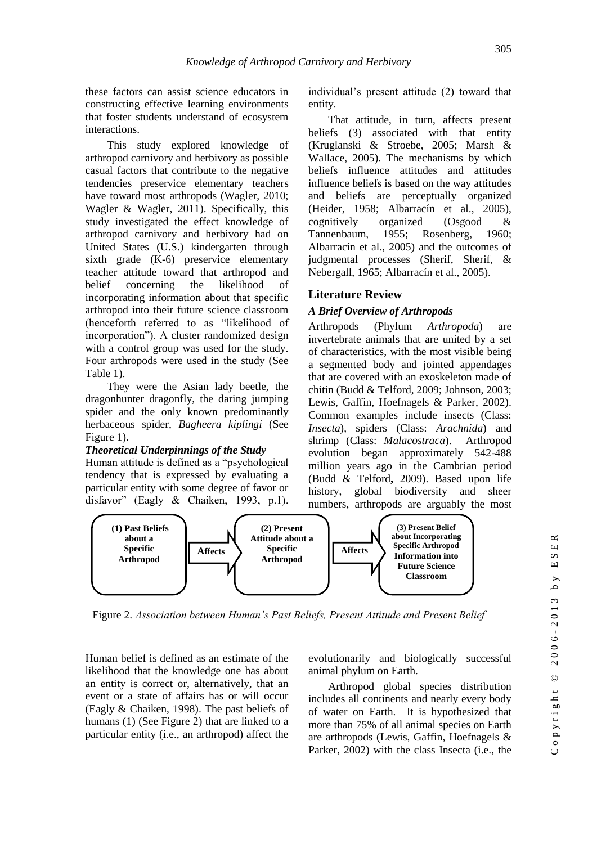these factors can assist science educators in constructing effective learning environments that foster students understand of ecosystem interactions.

This study explored knowledge of arthropod carnivory and herbivory as possible casual factors that contribute to the negative tendencies preservice elementary teachers have toward most arthropods (Wagler, 2010; Wagler & Wagler, 2011). Specifically, this study investigated the effect knowledge of arthropod carnivory and herbivory had on United States (U.S.) kindergarten through sixth grade (K-6) preservice elementary teacher attitude toward that arthropod and belief concerning the likelihood of incorporating information about that specific arthropod into their future science classroom (henceforth referred to as "likelihood of incorporation"). A cluster randomized design with a control group was used for the study. Four arthropods were used in the study (See Table 1).

They were the Asian lady beetle, the dragonhunter dragonfly, the daring jumping spider and the only known predominantly herbaceous spider, *Bagheera kiplingi* (See Figure 1).

#### *Theoretical Underpinnings of the Study*

Human attitude is defined as a "psychological tendency that is expressed by evaluating a particular entity with some degree of favor or disfavor" (Eagly & Chaiken, 1993, p.1).

individual's present attitude (2) toward that entity.

That attitude, in turn, affects present beliefs (3) associated with that entity (Kruglanski & Stroebe, 2005; Marsh & Wallace, 2005). The mechanisms by which beliefs influence attitudes and attitudes influence beliefs is based on the way attitudes and beliefs are perceptually organized (Heider, 1958; Albarracín et al., 2005), cognitively organized (Osgood & Tannenbaum, 1955; Rosenberg, 1960; Albarracín et al., 2005) and the outcomes of judgmental processes (Sherif, Sherif, & Nebergall, 1965; Albarracín et al., 2005).

#### **Literature Review**

#### *A Brief Overview of Arthropods*

Arthropods (Phylum *Arthropoda*) are invertebrate animals that are united by a set of characteristics, with the most visible being a segmented body and jointed appendages that are covered with an exoskeleton made of chitin (Budd & Telford, 2009; Johnson, 2003; Lewis, Gaffin, Hoefnagels & Parker, 2002). Common examples include insects (Class: *Insecta*), spiders (Class: *Arachnida*) and shrimp (Class: *Malacostraca*). Arthropod evolution began approximately 542-488 million years ago in the Cambrian period (Budd & Telford**,** 2009). Based upon life history, global biodiversity and sheer numbers, arthropods are arguably the most



Figure 2. *Association between Human's Past Beliefs, Present Attitude and Present Belief*

Human belief is defined as an estimate of the likelihood that the knowledge one has about an entity is correct or, alternatively, that an event or a state of affairs has or will occur (Eagly & Chaiken, 1998). The past beliefs of humans (1) (See Figure 2) that are linked to a particular entity (i.e., an arthropod) affect the

evolutionarily and biologically successful animal phylum on Earth.

Arthropod global species distribution includes all continents and nearly every body of water on Earth. It is hypothesized that more than 75% of all animal species on Earth are arthropods (Lewis, Gaffin, Hoefnagels & Parker, 2002) with the class Insecta (i.e., the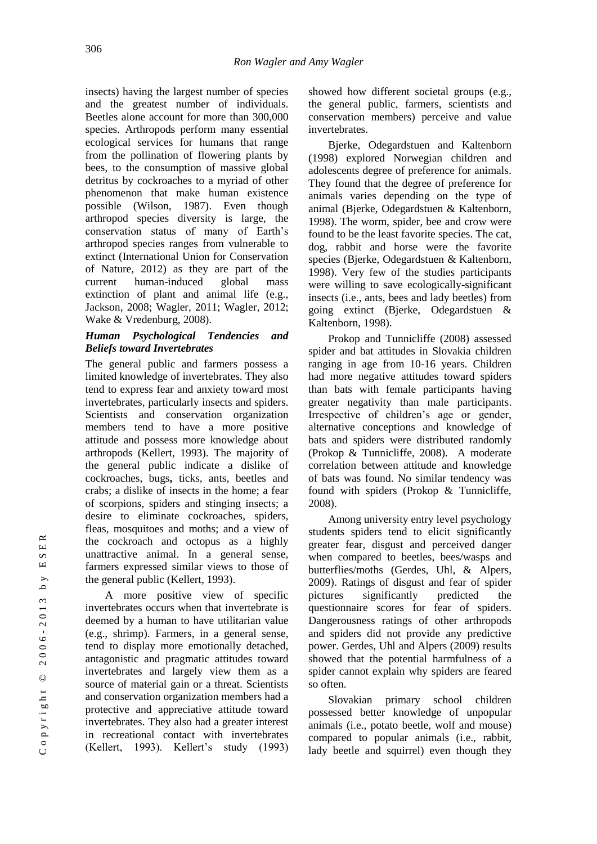insects) having the largest number of species and the greatest number of individuals. Beetles alone account for more than 300,000 species. Arthropods perform many essential ecological services for humans that range from the pollination of flowering plants by bees, to the consumption of massive global detritus by cockroaches to a myriad of other phenomenon that make human existence possible (Wilson, 1987). Even though arthropod species diversity is large, the conservation status of many of Earth's arthropod species ranges from vulnerable to extinct (International Union for Conservation of Nature, 2012) as they are part of the current human-induced global mass extinction of plant and animal life (e.g., Jackson, 2008; Wagler*,* 2011; Wagler*,* 2012; Wake & Vredenburg, 2008).

## *Human Psychological Tendencies and Beliefs toward Invertebrates*

The general public and farmers possess a limited knowledge of invertebrates. They also tend to express fear and anxiety toward most invertebrates, particularly insects and spiders. Scientists and conservation organization members tend to have a more positive attitude and possess more knowledge about arthropods (Kellert, 1993). The majority of the general public indicate a dislike of cockroaches, bugs**,** ticks, ants, beetles and crabs; a dislike of insects in the home; a fear of scorpions, spiders and stinging insects; a desire to eliminate cockroaches, spiders, fleas, mosquitoes and moths; and a view of the cockroach and octopus as a highly unattractive animal. In a general sense, farmers expressed similar views to those of the general public (Kellert, 1993).

A more positive view of specific invertebrates occurs when that invertebrate is deemed by a human to have utilitarian value (e.g., shrimp). Farmers, in a general sense, tend to display more emotionally detached, antagonistic and pragmatic attitudes toward invertebrates and largely view them as a source of material gain or a threat. Scientists and conservation organization members had a protective and appreciative attitude toward invertebrates. They also had a greater interest in recreational contact with invertebrates (Kellert, 1993). Kellert's study (1993) showed how different societal groups (e.g., the general public, farmers, scientists and conservation members) perceive and value invertebrates.

Bjerke, Odegardstuen and Kaltenborn (1998) explored Norwegian children and adolescents degree of preference for animals. They found that the degree of preference for animals varies depending on the type of animal (Bjerke, Odegardstuen & Kaltenborn, 1998). The worm, spider, bee and crow were found to be the least favorite species. The cat, dog, rabbit and horse were the favorite species (Bjerke, Odegardstuen & Kaltenborn, 1998). Very few of the studies participants were willing to save ecologically-significant insects (i.e., ants, bees and lady beetles) from going extinct (Bjerke, Odegardstuen & Kaltenborn, 1998).

Prokop and Tunnicliffe (2008) assessed spider and bat attitudes in Slovakia children ranging in age from 10-16 years. Children had more negative attitudes toward spiders than bats with female participants having greater negativity than male participants. Irrespective of children's age or gender, alternative conceptions and knowledge of bats and spiders were distributed randomly (Prokop & Tunnicliffe, 2008). A moderate correlation between attitude and knowledge of bats was found. No similar tendency was found with spiders (Prokop & Tunnicliffe, 2008).

Among university entry level psychology students spiders tend to elicit significantly greater fear, disgust and perceived danger when compared to beetles, bees/wasps and butterflies/moths (Gerdes, Uhl, & Alpers, 2009). Ratings of disgust and fear of spider pictures significantly predicted the questionnaire scores for fear of spiders. Dangerousness ratings of other arthropods and spiders did not provide any predictive power. Gerdes, Uhl and Alpers (2009) results showed that the potential harmfulness of a spider cannot explain why spiders are feared so often.

Slovakian primary school children possessed better knowledge of unpopular animals (i.e., potato beetle, wolf and mouse) compared to popular animals (i.e., rabbit, lady beetle and squirrel) even though they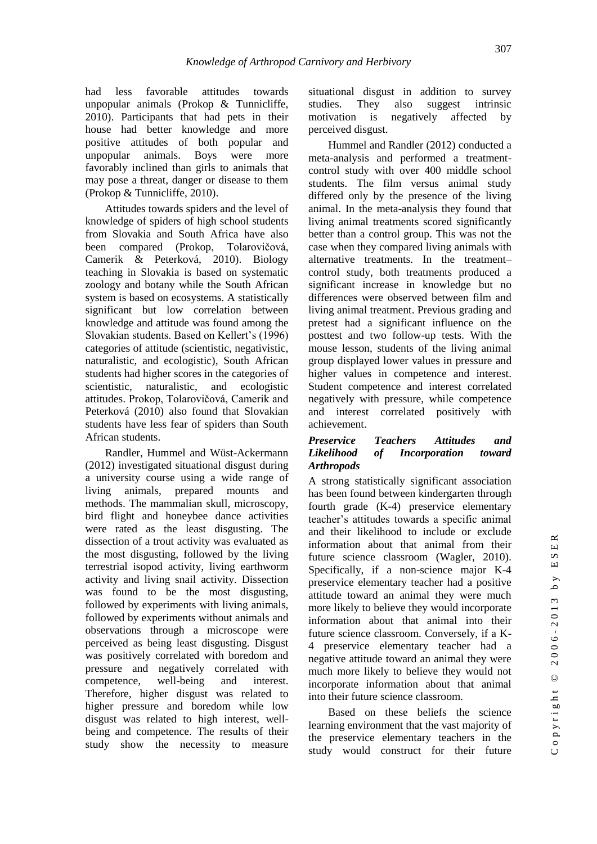had less favorable attitudes towards unpopular animals (Prokop & Tunnicliffe, 2010). Participants that had pets in their house had better knowledge and more positive attitudes of both popular and unpopular animals. Boys were more favorably inclined than girls to animals that may pose a threat, danger or disease to them (Prokop & Tunnicliffe, 2010).

Attitudes towards spiders and the level of knowledge of spiders of high school students from Slovakia and South Africa have also been compared (Prokop, Tolarovičová, Camerik & Peterková, 2010). Biology teaching in Slovakia is based on systematic zoology and botany while the South African system is based on ecosystems. A statistically significant but low correlation between knowledge and attitude was found among the Slovakian students. Based on Kellert's (1996) categories of attitude (scientistic, negativistic, naturalistic, and ecologistic), South African students had higher scores in the categories of scientistic, naturalistic, and ecologistic attitudes. Prokop, Tolarovičová, Camerik and Peterková (2010) also found that Slovakian students have less fear of spiders than South African students.

Randler, Hummel and Wüst-Ackermann (2012) investigated situational disgust during a university course using a wide range of living animals, prepared mounts and methods. The mammalian skull, microscopy, bird flight and honeybee dance activities were rated as the least disgusting. The dissection of a trout activity was evaluated as the most disgusting, followed by the living terrestrial isopod activity, living earthworm activity and living snail activity. Dissection was found to be the most disgusting, followed by experiments with living animals, followed by experiments without animals and observations through a microscope were perceived as being least disgusting. Disgust was positively correlated with boredom and pressure and negatively correlated with competence, well-being and interest. Therefore, higher disgust was related to higher pressure and boredom while low disgust was related to high interest, wellbeing and competence. The results of their study show the necessity to measure situational disgust in addition to survey studies. They also suggest intrinsic motivation is negatively affected by perceived disgust.

Hummel and Randler (2012) conducted a meta-analysis and performed a treatmentcontrol study with over 400 middle school students. The film versus animal study differed only by the presence of the living animal. In the meta-analysis they found that living animal treatments scored significantly better than a control group. This was not the case when they compared living animals with alternative treatments. In the treatment– control study, both treatments produced a significant increase in knowledge but no differences were observed between film and living animal treatment. Previous grading and pretest had a significant influence on the posttest and two follow-up tests. With the mouse lesson, students of the living animal group displayed lower values in pressure and higher values in competence and interest. Student competence and interest correlated negatively with pressure, while competence and interest correlated positively with achievement.

### *Preservice Teachers Attitudes and Likelihood of Incorporation toward Arthropods*

A strong statistically significant association has been found between kindergarten through fourth grade (K-4) preservice elementary teacher's attitudes towards a specific animal and their likelihood to include or exclude information about that animal from their future science classroom (Wagler, 2010). Specifically, if a non-science major K-4 preservice elementary teacher had a positive attitude toward an animal they were much more likely to believe they would incorporate information about that animal into their future science classroom. Conversely, if a K-4 preservice elementary teacher had a negative attitude toward an animal they were much more likely to believe they would not incorporate information about that animal into their future science classroom.

Based on these beliefs the science learning environment that the vast majority of the preservice elementary teachers in the study would construct for their future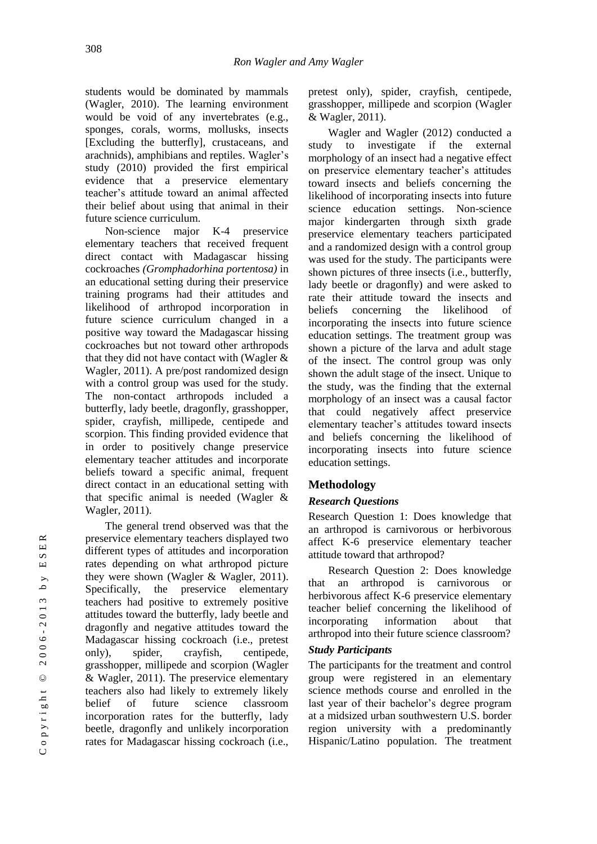students would be dominated by mammals (Wagler, 2010). The learning environment would be void of any invertebrates (e.g., sponges, corals, worms, mollusks, insects [Excluding the butterfly], crustaceans, and arachnids), amphibians and reptiles. Wagler's study (2010) provided the first empirical evidence that a preservice elementary teacher's attitude toward an animal affected their belief about using that animal in their future science curriculum.

Non-science major K-4 preservice elementary teachers that received frequent direct contact with Madagascar hissing cockroaches *(Gromphadorhina portentosa)* in an educational setting during their preservice training programs had their attitudes and likelihood of arthropod incorporation in future science curriculum changed in a positive way toward the Madagascar hissing cockroaches but not toward other arthropods that they did not have contact with (Wagler & Wagler, 2011). A pre/post randomized design with a control group was used for the study. The non-contact arthropods included a butterfly, lady beetle, dragonfly, grasshopper, spider, crayfish, millipede, centipede and scorpion. This finding provided evidence that in order to positively change preservice elementary teacher attitudes and incorporate beliefs toward a specific animal, frequent direct contact in an educational setting with that specific animal is needed (Wagler & Wagler, 2011).

The general trend observed was that the preservice elementary teachers displayed two different types of attitudes and incorporation rates depending on what arthropod picture they were shown (Wagler & Wagler, 2011). Specifically, the preservice elementary teachers had positive to extremely positive attitudes toward the butterfly, lady beetle and dragonfly and negative attitudes toward the Madagascar hissing cockroach (i.e., pretest only), spider, crayfish, centipede, grasshopper, millipede and scorpion (Wagler & Wagler, 2011). The preservice elementary teachers also had likely to extremely likely belief of future science classroom incorporation rates for the butterfly, lady beetle, dragonfly and unlikely incorporation rates for Madagascar hissing cockroach (i.e.,

pretest only), spider, crayfish, centipede, grasshopper, millipede and scorpion (Wagler & Wagler, 2011).

Wagler and Wagler (2012) conducted a study to investigate if the external morphology of an insect had a negative effect on preservice elementary teacher's attitudes toward insects and beliefs concerning the likelihood of incorporating insects into future science education settings. Non-science major kindergarten through sixth grade preservice elementary teachers participated and a randomized design with a control group was used for the study. The participants were shown pictures of three insects (i.e., butterfly, lady beetle or dragonfly) and were asked to rate their attitude toward the insects and beliefs concerning the likelihood of incorporating the insects into future science education settings. The treatment group was shown a picture of the larva and adult stage of the insect. The control group was only shown the adult stage of the insect. Unique to the study, was the finding that the external morphology of an insect was a causal factor that could negatively affect preservice elementary teacher's attitudes toward insects and beliefs concerning the likelihood of incorporating insects into future science education settings.

# **Methodology**

# *Research Questions*

Research Question 1: Does knowledge that an arthropod is carnivorous or herbivorous affect K-6 preservice elementary teacher attitude toward that arthropod?

Research Question 2: Does knowledge that an arthropod is carnivorous or herbivorous affect K-6 preservice elementary teacher belief concerning the likelihood of incorporating information about that arthropod into their future science classroom?

## *Study Participants*

The participants for the treatment and control group were registered in an elementary science methods course and enrolled in the last year of their bachelor's degree program at a midsized urban southwestern U.S. border region university with a predominantly Hispanic/Latino population. The treatment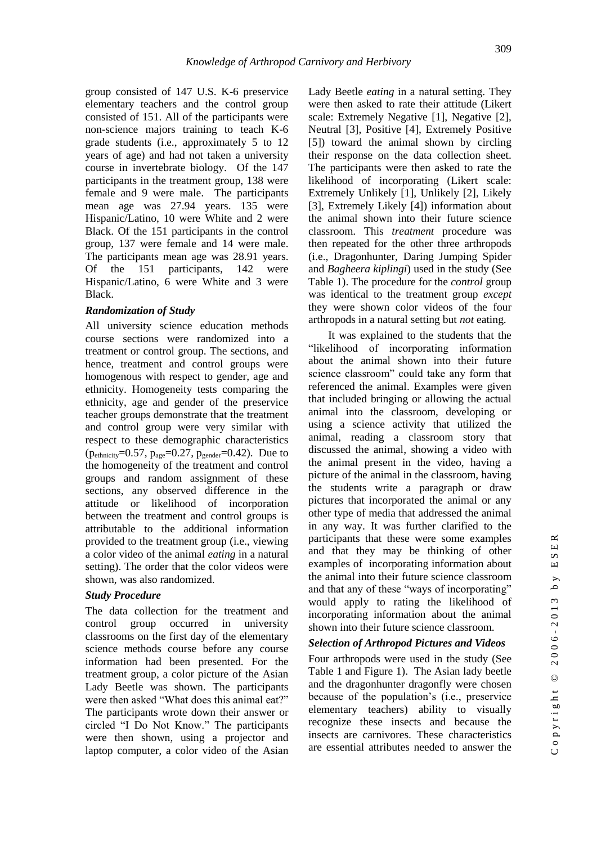group consisted of 147 U.S. K-6 preservice elementary teachers and the control group consisted of 151. All of the participants were non-science majors training to teach K-6 grade students (i.e., approximately 5 to 12 years of age) and had not taken a university course in invertebrate biology. Of the 147 participants in the treatment group, 138 were female and 9 were male. The participants mean age was 27.94 years. 135 were Hispanic/Latino, 10 were White and 2 were Black. Of the 151 participants in the control group, 137 were female and 14 were male. The participants mean age was 28.91 years. Of the 151 participants, 142 were Hispanic/Latino, 6 were White and 3 were Black.

#### *Randomization of Study*

All university science education methods course sections were randomized into a treatment or control group. The sections, and hence, treatment and control groups were homogenous with respect to gender, age and ethnicity. Homogeneity tests comparing the ethnicity, age and gender of the preservice teacher groups demonstrate that the treatment and control group were very similar with respect to these demographic characteristics  $(p_{\text{ethnicity}}=0.57, p_{\text{age}}=0.27, p_{\text{gender}}=0.42)$ . Due to the homogeneity of the treatment and control groups and random assignment of these sections, any observed difference in the attitude or likelihood of incorporation between the treatment and control groups is attributable to the additional information provided to the treatment group (i.e., viewing a color video of the animal *eating* in a natural setting). The order that the color videos were shown, was also randomized.

#### *Study Procedure*

The data collection for the treatment and control group occurred in university classrooms on the first day of the elementary science methods course before any course information had been presented. For the treatment group, a color picture of the Asian Lady Beetle was shown. The participants were then asked "What does this animal eat?" The participants wrote down their answer or circled "I Do Not Know." The participants were then shown, using a projector and laptop computer, a color video of the Asian

Lady Beetle *eating* in a natural setting. They were then asked to rate their attitude (Likert scale: Extremely Negative [1], Negative [2], Neutral [3], Positive [4], Extremely Positive [5]) toward the animal shown by circling their response on the data collection sheet. The participants were then asked to rate the likelihood of incorporating (Likert scale: Extremely Unlikely [1], Unlikely [2], Likely [3], Extremely Likely [4]) information about the animal shown into their future science classroom. This *treatment* procedure was then repeated for the other three arthropods (i.e., Dragonhunter, Daring Jumping Spider and *Bagheera kiplingi*) used in the study (See Table 1). The procedure for the *control* group was identical to the treatment group *except* they were shown color videos of the four arthropods in a natural setting but *not* eating.

It was explained to the students that the "likelihood of incorporating information about the animal shown into their future science classroom" could take any form that referenced the animal. Examples were given that included bringing or allowing the actual animal into the classroom, developing or using a science activity that utilized the animal, reading a classroom story that discussed the animal, showing a video with the animal present in the video, having a picture of the animal in the classroom, having the students write a paragraph or draw pictures that incorporated the animal or any other type of media that addressed the animal in any way. It was further clarified to the participants that these were some examples and that they may be thinking of other examples of incorporating information about the animal into their future science classroom and that any of these "ways of incorporating" would apply to rating the likelihood of incorporating information about the animal shown into their future science classroom.

#### *Selection of Arthropod Pictures and Videos*

Four arthropods were used in the study (See Table 1 and Figure 1). The Asian lady beetle and the dragonhunter dragonfly were chosen because of the population's (i.e., preservice elementary teachers) ability to visually recognize these insects and because the insects are carnivores. These characteristics are essential attributes needed to answer the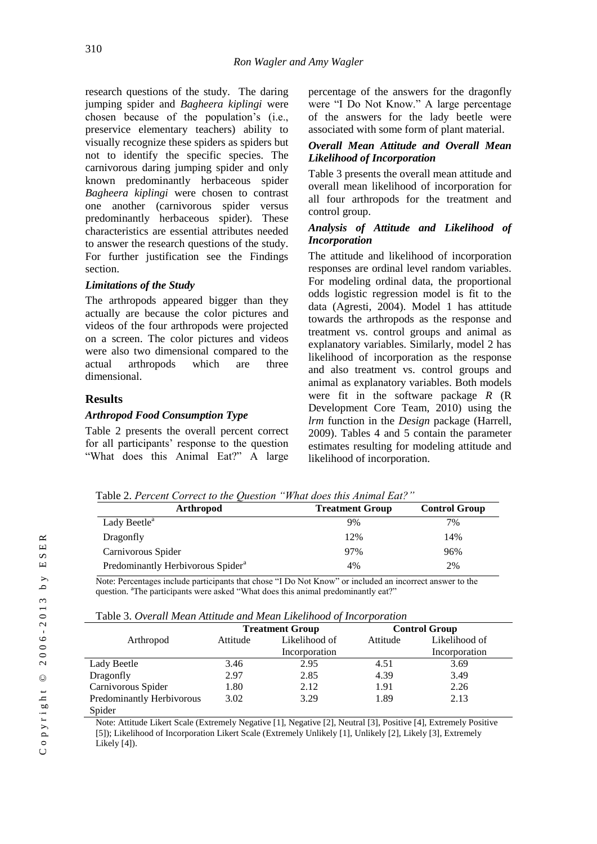research questions of the study. The daring jumping spider and *Bagheera kiplingi* were chosen because of the population's (i.e., preservice elementary teachers) ability to visually recognize these spiders as spiders but not to identify the specific species. The carnivorous daring jumping spider and only known predominantly herbaceous spider *Bagheera kiplingi* were chosen to contrast one another (carnivorous spider versus predominantly herbaceous spider). These characteristics are essential attributes needed to answer the research questions of the study. For further justification see the Findings section.

#### *Limitations of the Study*

The arthropods appeared bigger than they actually are because the color pictures and videos of the four arthropods were projected on a screen. The color pictures and videos were also two dimensional compared to the actual arthropods which are three dimensional.

#### **Results**

#### *Arthropod Food Consumption Type*

Table 2 presents the overall percent correct for all participants' response to the question "What does this Animal Eat?" A large

percentage of the answers for the dragonfly were "I Do Not Know." A large percentage of the answers for the lady beetle were associated with some form of plant material.

#### *Overall Mean Attitude and Overall Mean Likelihood of Incorporation*

Table 3 presents the overall mean attitude and overall mean likelihood of incorporation for all four arthropods for the treatment and control group.

#### *Analysis of Attitude and Likelihood of Incorporation*

The attitude and likelihood of incorporation responses are ordinal level random variables. For modeling ordinal data, the proportional odds logistic regression model is fit to the data (Agresti, 2004). Model 1 has attitude towards the arthropods as the response and treatment vs. control groups and animal as explanatory variables. Similarly, model 2 has likelihood of incorporation as the response and also treatment vs. control groups and animal as explanatory variables. Both models were fit in the software package *R* (R Development Core Team, 2010) using the *lrm* function in the *Design* package (Harrell, 2009). Tables 4 and 5 contain the parameter estimates resulting for modeling attitude and likelihood of incorporation.

Table 2. *Percent Correct to the Question "What does this Animal Eat?"*

| <b>Arthropod</b>                              | <b>Treatment Group</b> | <b>Control Group</b> |
|-----------------------------------------------|------------------------|----------------------|
| Lady Beetle <sup>a</sup>                      | 9%                     | 7%                   |
| Dragonfly                                     | 12%                    | 14%                  |
| Carnivorous Spider                            | 97%                    | 96%                  |
| Predominantly Herbivorous Spider <sup>a</sup> | 4%                     | 2%                   |

Note: Percentages include participants that chose "I Do Not Know" or included an incorrect answer to the question. <sup>a</sup>The participants were asked "What does this animal predominantly eat?"

| Table 3. Overall Mean Attitude and Mean Likelihood of Incorporation |  |
|---------------------------------------------------------------------|--|
|---------------------------------------------------------------------|--|

|                           | <b>Treatment Group</b> |               | <b>Control Group</b> |               |  |
|---------------------------|------------------------|---------------|----------------------|---------------|--|
| Arthropod                 | Attitude               | Likelihood of | Attitude             | Likelihood of |  |
|                           |                        | Incorporation |                      | Incorporation |  |
| Lady Beetle               | 3.46                   | 2.95          | 4.51                 | 3.69          |  |
| Dragonfly                 | 2.97                   | 2.85          | 4.39                 | 3.49          |  |
| Carnivorous Spider        | 1.80                   | 2.12          | 1.91                 | 2.26          |  |
| Predominantly Herbivorous | 3.02                   | 3.29          | 1.89                 | 2.13          |  |
| Spider                    |                        |               |                      |               |  |

Note: Attitude Likert Scale (Extremely Negative [1], Negative [2], Neutral [3], Positive [4], Extremely Positive [5]); Likelihood of Incorporation Likert Scale (Extremely Unlikely [1], Unlikely [2], Likely [3], Extremely Likely [4]).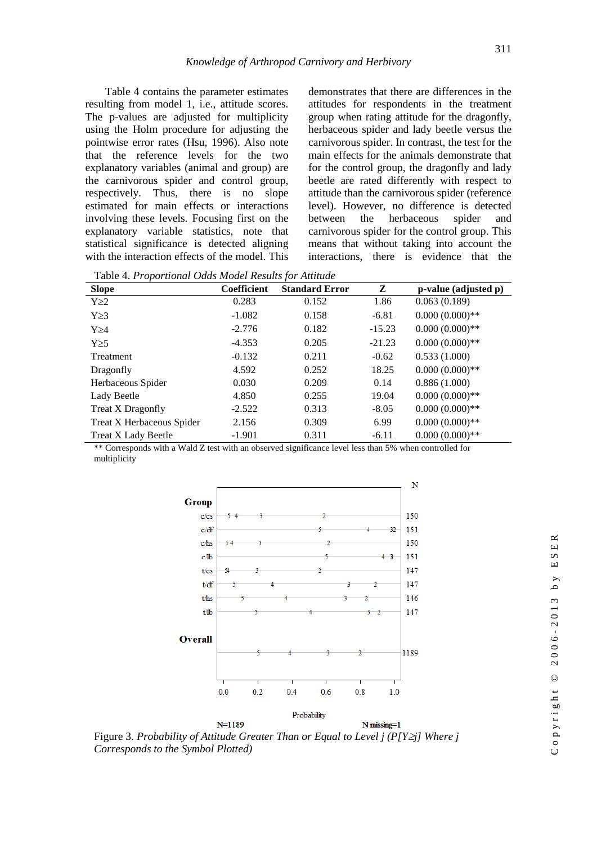Table 4 contains the parameter estimates resulting from model 1, i.e., attitude scores. The p-values are adjusted for multiplicity using the Holm procedure for adjusting the pointwise error rates (Hsu, 1996). Also note that the reference levels for the two explanatory variables (animal and group) are the carnivorous spider and control group, respectively. Thus, there is no slope estimated for main effects or interactions involving these levels. Focusing first on the explanatory variable statistics, note that statistical significance is detected aligning with the interaction effects of the model. This

demonstrates that there are differences in the attitudes for respondents in the treatment group when rating attitude for the dragonfly, herbaceous spider and lady beetle versus the carnivorous spider. In contrast, the test for the main effects for the animals demonstrate that for the control group, the dragonfly and lady beetle are rated differently with respect to attitude than the carnivorous spider (reference level). However, no difference is detected between the herbaceous spider and carnivorous spider for the control group. This means that without taking into account the interactions, there is evidence that the

Table 4. *Proportional Odds Model Results for Attitude*

| Tuble 1.1 Topol Month Cump Moure Republic for Himmune |                    |                       |          |                      |  |
|-------------------------------------------------------|--------------------|-----------------------|----------|----------------------|--|
| <b>Slope</b>                                          | <b>Coefficient</b> | <b>Standard Error</b> | Z        | p-value (adjusted p) |  |
| $Y \geq 2$                                            | 0.283              | 0.152                 | 1.86     | 0.063(0.189)         |  |
| $Y \geq 3$                                            | $-1.082$           | 0.158                 | $-6.81$  | $0.000(0.000)$ **    |  |
| $Y \geq 4$                                            | $-2.776$           | 0.182                 | $-15.23$ | $0.000(0.000)$ **    |  |
| $Y\geq 5$                                             | $-4.353$           | 0.205                 | $-21.23$ | $0.000(0.000)$ **    |  |
| Treatment                                             | $-0.132$           | 0.211                 | $-0.62$  | 0.533(1.000)         |  |
| Dragonfly                                             | 4.592              | 0.252                 | 18.25    | $0.000(0.000)$ **    |  |
| Herbaceous Spider                                     | 0.030              | 0.209                 | 0.14     | 0.886(1.000)         |  |
| Lady Beetle                                           | 4.850              | 0.255                 | 19.04    | $0.000(0.000)$ **    |  |
| Treat X Dragonfly                                     | $-2.522$           | 0.313                 | $-8.05$  | $0.000(0.000)$ **    |  |
| Treat X Herbaceous Spider                             | 2.156              | 0.309                 | 6.99     | $0.000(0.000)$ **    |  |
| <b>Treat X Lady Beetle</b>                            | $-1.901$           | 0.311                 | $-6.11$  | $0.000(0.000)$ **    |  |

\*\* Corresponds with a Wald Z test with an observed significance level less than 5% when controlled for multiplicity



Figure 3. *Probability of Attitude Greater Than or Equal to Level j (P[Yj] Where j Corresponds to the Symbol Plotted)*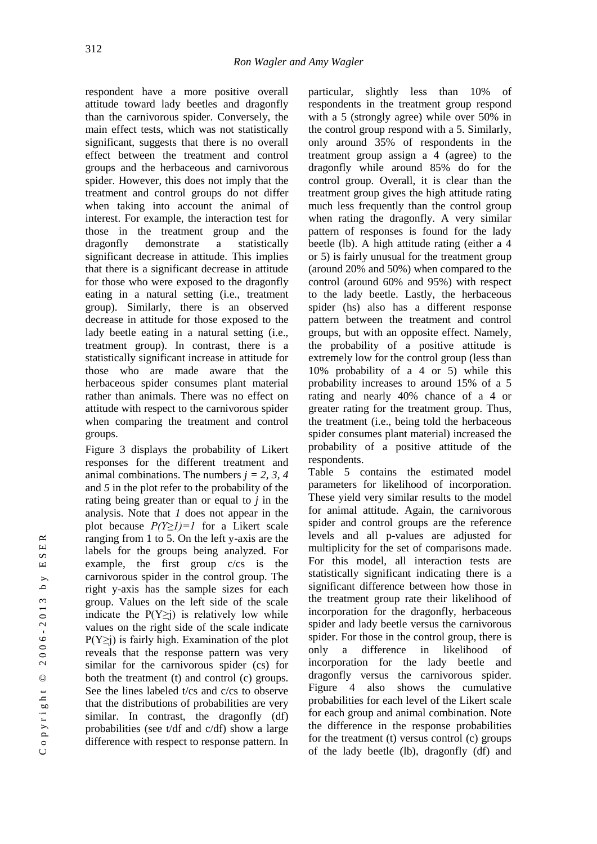respondent have a more positive overall attitude toward lady beetles and dragonfly than the carnivorous spider. Conversely, the main effect tests, which was not statistically significant, suggests that there is no overall effect between the treatment and control groups and the herbaceous and carnivorous spider. However, this does not imply that the treatment and control groups do not differ when taking into account the animal of interest. For example, the interaction test for those in the treatment group and the dragonfly demonstrate a statistically significant decrease in attitude. This implies that there is a significant decrease in attitude for those who were exposed to the dragonfly eating in a natural setting (i.e., treatment group). Similarly, there is an observed decrease in attitude for those exposed to the lady beetle eating in a natural setting (i.e., treatment group). In contrast, there is a statistically significant increase in attitude for those who are made aware that the herbaceous spider consumes plant material rather than animals. There was no effect on attitude with respect to the carnivorous spider when comparing the treatment and control groups.

Figure 3 displays the probability of Likert responses for the different treatment and animal combinations. The numbers *j = 2, 3, 4*  and *5* in the plot refer to the probability of the rating being greater than or equal to *j* in the analysis. Note that *1* does not appear in the plot because *P(Y≥1)=1* for a Likert scale ranging from 1 to 5. On the left y-axis are the labels for the groups being analyzed. For example, the first group c/cs is the carnivorous spider in the control group. The right y-axis has the sample sizes for each group. Values on the left side of the scale indicate the  $P(Y \ge i)$  is relatively low while values on the right side of the scale indicate  $P(Y \ge i)$  is fairly high. Examination of the plot reveals that the response pattern was very similar for the carnivorous spider (cs) for both the treatment (t) and control (c) groups. See the lines labeled t/cs and c/cs to observe that the distributions of probabilities are very similar. In contrast, the dragonfly (df) probabilities (see t/df and c/df) show a large difference with respect to response pattern. In

particular, slightly less than 10% of respondents in the treatment group respond with a 5 (strongly agree) while over 50% in the control group respond with a 5. Similarly, only around 35% of respondents in the treatment group assign a 4 (agree) to the dragonfly while around 85% do for the control group. Overall, it is clear than the treatment group gives the high attitude rating much less frequently than the control group when rating the dragonfly. A very similar pattern of responses is found for the lady beetle (lb). A high attitude rating (either a 4 or 5) is fairly unusual for the treatment group (around 20% and 50%) when compared to the control (around 60% and 95%) with respect to the lady beetle. Lastly, the herbaceous spider (hs) also has a different response pattern between the treatment and control groups, but with an opposite effect. Namely, the probability of a positive attitude is extremely low for the control group (less than 10% probability of a 4 or 5) while this probability increases to around 15% of a 5 rating and nearly 40% chance of a 4 or greater rating for the treatment group. Thus, the treatment (i.e., being told the herbaceous spider consumes plant material) increased the probability of a positive attitude of the respondents.

Table 5 contains the estimated model parameters for likelihood of incorporation. These yield very similar results to the model for animal attitude. Again, the carnivorous spider and control groups are the reference levels and all p-values are adjusted for multiplicity for the set of comparisons made. For this model, all interaction tests are statistically significant indicating there is a significant difference between how those in the treatment group rate their likelihood of incorporation for the dragonfly, herbaceous spider and lady beetle versus the carnivorous spider. For those in the control group, there is only a difference in likelihood of incorporation for the lady beetle and dragonfly versus the carnivorous spider. Figure 4 also shows the cumulative probabilities for each level of the Likert scale for each group and animal combination. Note the difference in the response probabilities for the treatment (t) versus control (c) groups of the lady beetle (lb), dragonfly (df) and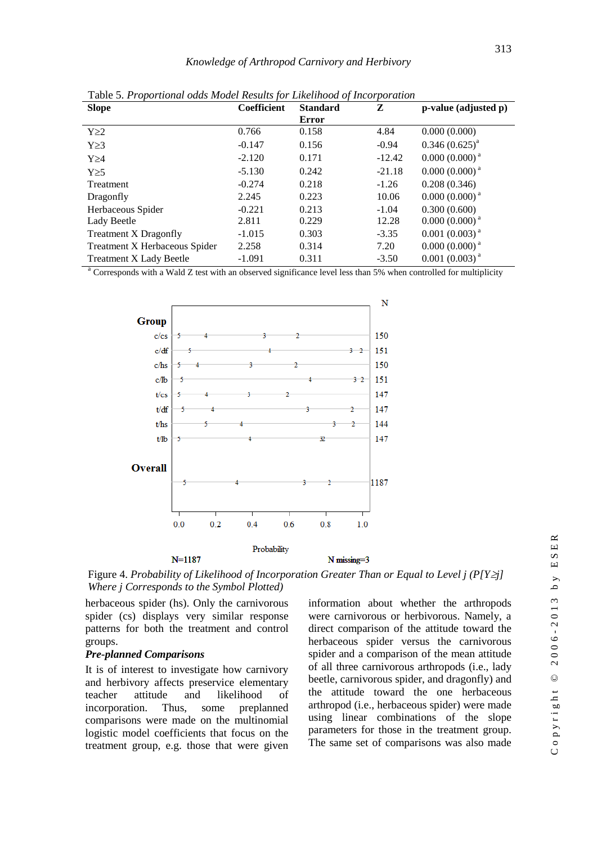| $\mathbf{I}$<br><b>Slope</b>   | $\cdot$<br><b>Coefficient</b> | $\cdot$<br><b>Standard</b> | $\overline{ }$<br>Z | p-value (adjusted p)        |
|--------------------------------|-------------------------------|----------------------------|---------------------|-----------------------------|
|                                |                               | Error                      |                     |                             |
| $Y \geq 2$                     | 0.766                         | 0.158                      | 4.84                | 0.000(0.000)                |
| $Y \geq 3$                     | $-0.147$                      | 0.156                      | $-0.94$             | $0.346(0.625)^{a}$          |
| $Y \geq 4$                     | $-2.120$                      | 0.171                      | $-12.42$            | $0.000(0.000)$ <sup>a</sup> |
| $Y\geq 5$                      | $-5.130$                      | 0.242                      | $-21.18$            | $0.000(0.000)$ <sup>a</sup> |
| Treatment                      | $-0.274$                      | 0.218                      | $-1.26$             | 0.208(0.346)                |
| Dragonfly                      | 2.245                         | 0.223                      | 10.06               | $0.000(0.000)$ <sup>a</sup> |
| Herbaceous Spider              | $-0.221$                      | 0.213                      | $-1.04$             | 0.300(0.600)                |
| Lady Beetle                    | 2.811                         | 0.229                      | 12.28               | $0.000(0.000)^{a}$          |
| <b>Treatment X Dragonfly</b>   | $-1.015$                      | 0.303                      | $-3.35$             | $0.001(0.003)^{a}$          |
| Treatment X Herbaceous Spider  | 2.258                         | 0.314                      | 7.20                | $0.000(0.000)^{a}$          |
| <b>Treatment X Lady Beetle</b> | $-1.091$                      | 0.311                      | $-3.50$             | $0.001(0.003)^{a}$          |

Table 5. *Proportional odds Model Results for Likelihood of Incorporation*

<sup>a</sup> Corresponds with a Wald Z test with an observed significance level less than 5% when controlled for multiplicity



 $\simeq$  $\Box$ 

 $\mathbf{v}$ 

Figure 4. *Probability of Likelihood of Incorporation Greater Than or Equal to Level j (P[Yj] Where j Corresponds to the Symbol Plotted)*

herbaceous spider (hs). Only the carnivorous spider (cs) displays very similar response patterns for both the treatment and control groups.

#### *Pre-planned Comparisons*

It is of interest to investigate how carnivory and herbivory affects preservice elementary teacher attitude and likelihood of incorporation. Thus, some preplanned comparisons were made on the multinomial logistic model coefficients that focus on the treatment group, e.g. those that were given information about whether the arthropods were carnivorous or herbivorous. Namely, a direct comparison of the attitude toward the herbaceous spider versus the carnivorous spider and a comparison of the mean attitude of all three carnivorous arthropods (i.e., lady beetle, carnivorous spider, and dragonfly) and the attitude toward the one herbaceous arthropod (i.e., herbaceous spider) were made using linear combinations of the slope parameters for those in the treatment group. The same set of comparisons was also made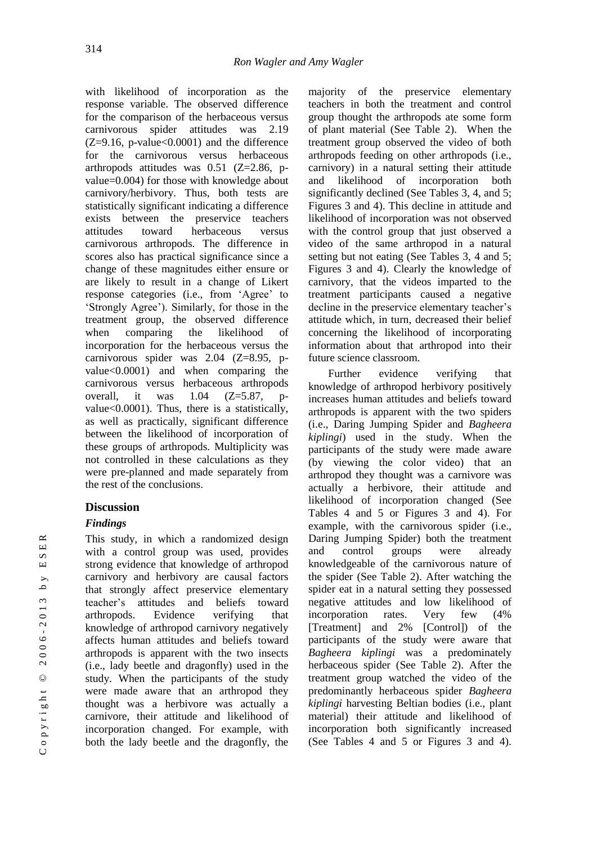with likelihood of incorporation as the response variable. The observed difference for the comparison of the herbaceous versus carnivorous spider attitudes was 2.19  $(Z=9.16, p-value<0.0001)$  and the difference for the carnivorous versus herbaceous arthropods attitudes was 0.51 (Z=2.86, pvalue=0.004) for those with knowledge about carnivory/herbivory. Thus, both tests are statistically significant indicating a difference exists between the preservice teachers attitudes toward herbaceous versus carnivorous arthropods. The difference in scores also has practical significance since a change of these magnitudes either ensure or are likely to result in a change of Likert response categories (i.e., from 'Agree' to 'Strongly Agree'). Similarly, for those in the treatment group, the observed difference when comparing the likelihood of incorporation for the herbaceous versus the carnivorous spider was 2.04 (Z=8.95, pvalue<0.0001) and when comparing the carnivorous versus herbaceous arthropods overall, it was  $1.04$   $(Z=5.87, p$ value<0.0001). Thus, there is a statistically, as well as practically, significant difference between the likelihood of incorporation of these groups of arthropods. Multiplicity was not controlled in these calculations as they were pre-planned and made separately from the rest of the conclusions.

## **Discussion**

# *Findings*

This study, in which a randomized design with a control group was used, provides strong evidence that knowledge of arthropod carnivory and herbivory are causal factors that strongly affect preservice elementary teacher's attitudes and beliefs toward arthropods. Evidence verifying that knowledge of arthropod carnivory negatively affects human attitudes and beliefs toward arthropods is apparent with the two insects (i.e., lady beetle and dragonfly) used in the study. When the participants of the study were made aware that an arthropod they thought was a herbivore was actually a carnivore, their attitude and likelihood of incorporation changed. For example, with both the lady beetle and the dragonfly, the majority of the preservice elementary teachers in both the treatment and control group thought the arthropods ate some form of plant material (See Table 2). When the treatment group observed the video of both arthropods feeding on other arthropods (i.e., carnivory) in a natural setting their attitude and likelihood of incorporation both significantly declined (See Tables 3, 4, and 5; Figures 3 and 4). This decline in attitude and likelihood of incorporation was not observed with the control group that just observed a video of the same arthropod in a natural setting but not eating (See Tables 3, 4 and 5; Figures 3 and 4). Clearly the knowledge of carnivory, that the videos imparted to the treatment participants caused a negative decline in the preservice elementary teacher's attitude which, in turn, decreased their belief concerning the likelihood of incorporating information about that arthropod into their future science classroom.

Further evidence verifying that knowledge of arthropod herbivory positively increases human attitudes and beliefs toward arthropods is apparent with the two spiders (i.e., Daring Jumping Spider and *Bagheera kiplingi*) used in the study. When the participants of the study were made aware (by viewing the color video) that an arthropod they thought was a carnivore was actually a herbivore, their attitude and likelihood of incorporation changed (See Tables 4 and 5 or Figures 3 and 4). For example, with the carnivorous spider (i.e., Daring Jumping Spider) both the treatment and control groups were already knowledgeable of the carnivorous nature of the spider (See Table 2). After watching the spider eat in a natural setting they possessed negative attitudes and low likelihood of incorporation rates. Very few (4% [Treatment] and 2% [Control]) of the participants of the study were aware that *Bagheera kiplingi* was a predominately herbaceous spider (See Table 2). After the treatment group watched the video of the predominantly herbaceous spider *Bagheera kiplingi* harvesting Beltian bodies (i.e., plant material) their attitude and likelihood of incorporation both significantly increased (See Tables 4 and 5 or Figures 3 and 4).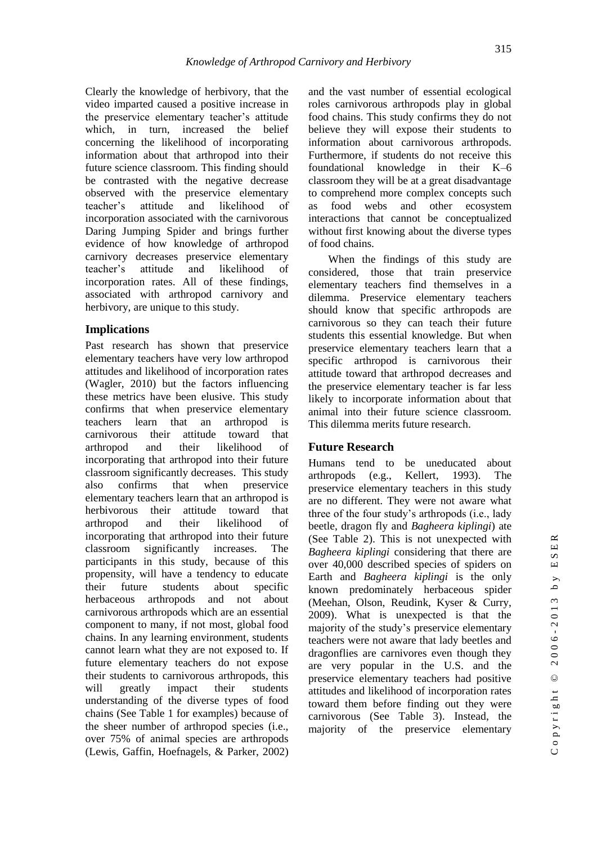Clearly the knowledge of herbivory, that the video imparted caused a positive increase in the preservice elementary teacher's attitude which, in turn, increased the belief concerning the likelihood of incorporating information about that arthropod into their future science classroom. This finding should be contrasted with the negative decrease observed with the preservice elementary teacher's attitude and likelihood of incorporation associated with the carnivorous Daring Jumping Spider and brings further evidence of how knowledge of arthropod carnivory decreases preservice elementary teacher's attitude and likelihood of incorporation rates. All of these findings, associated with arthropod carnivory and herbivory, are unique to this study.

## **Implications**

Past research has shown that preservice elementary teachers have very low arthropod attitudes and likelihood of incorporation rates (Wagler, 2010) but the factors influencing these metrics have been elusive. This study confirms that when preservice elementary teachers learn that an arthropod is carnivorous their attitude toward that arthropod and their likelihood of incorporating that arthropod into their future classroom significantly decreases. This study also confirms that when preservice elementary teachers learn that an arthropod is herbivorous their attitude toward that arthropod and their likelihood of incorporating that arthropod into their future classroom significantly increases. The participants in this study, because of this propensity, will have a tendency to educate their future students about specific herbaceous arthropods and not about carnivorous arthropods which are an essential component to many, if not most, global food chains. In any learning environment, students cannot learn what they are not exposed to. If future elementary teachers do not expose their students to carnivorous arthropods, this will greatly impact their students understanding of the diverse types of food chains (See Table 1 for examples) because of the sheer number of arthropod species (i.e., over 75% of animal species are arthropods (Lewis, Gaffin, Hoefnagels, & Parker, 2002) and the vast number of essential ecological roles carnivorous arthropods play in global food chains. This study confirms they do not believe they will expose their students to information about carnivorous arthropods. Furthermore, if students do not receive this foundational knowledge in their K–6 classroom they will be at a great disadvantage to comprehend more complex concepts such as food webs and other ecosystem interactions that cannot be conceptualized without first knowing about the diverse types of food chains.

315

When the findings of this study are considered, those that train preservice elementary teachers find themselves in a dilemma. Preservice elementary teachers should know that specific arthropods are carnivorous so they can teach their future students this essential knowledge. But when preservice elementary teachers learn that a specific arthropod is carnivorous their attitude toward that arthropod decreases and the preservice elementary teacher is far less likely to incorporate information about that animal into their future science classroom. This dilemma merits future research.

## **Future Research**

Humans tend to be uneducated about arthropods (e.g., Kellert, 1993). The preservice elementary teachers in this study are no different. They were not aware what three of the four study's arthropods (i.e., lady beetle, dragon fly and *Bagheera kiplingi*) ate (See Table 2). This is not unexpected with *Bagheera kiplingi* considering that there are over 40,000 described species of spiders on Earth and *Bagheera kiplingi* is the only known predominately herbaceous spider (Meehan, Olson, Reudink, Kyser & Curry, 2009). What is unexpected is that the majority of the study's preservice elementary teachers were not aware that lady beetles and dragonflies are carnivores even though they are very popular in the U.S. and the preservice elementary teachers had positive attitudes and likelihood of incorporation rates toward them before finding out they were carnivorous (See Table 3). Instead, the majority of the preservice elementary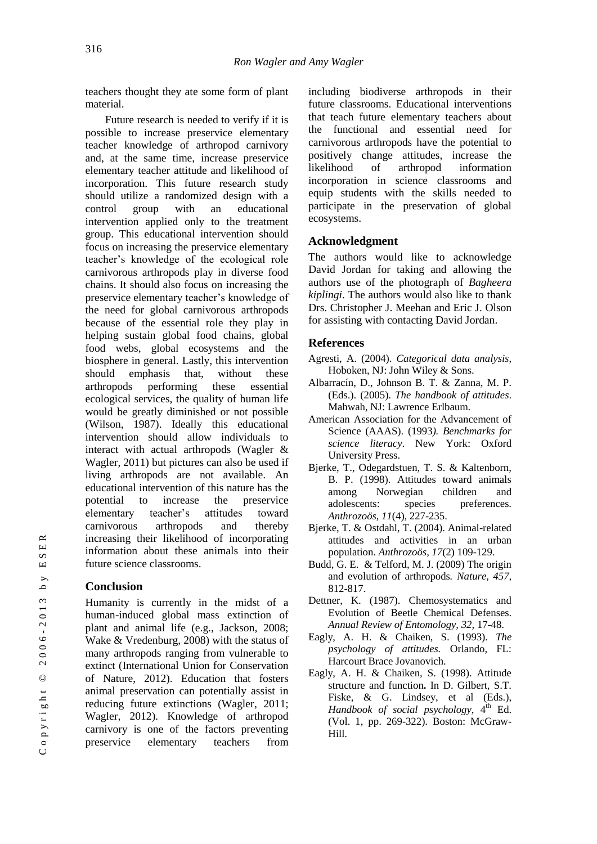teachers thought they ate some form of plant material.

Future research is needed to verify if it is possible to increase preservice elementary teacher knowledge of arthropod carnivory and, at the same time, increase preservice elementary teacher attitude and likelihood of incorporation. This future research study should utilize a randomized design with a control group with an educational intervention applied only to the treatment group. This educational intervention should focus on increasing the preservice elementary teacher's knowledge of the ecological role carnivorous arthropods play in diverse food chains. It should also focus on increasing the preservice elementary teacher's knowledge of the need for global carnivorous arthropods because of the essential role they play in helping sustain global food chains, global food webs, global ecosystems and the biosphere in general. Lastly, this intervention should emphasis that, without these arthropods performing these essential ecological services, the quality of human life would be greatly diminished or not possible (Wilson, 1987). Ideally this educational intervention should allow individuals to interact with actual arthropods (Wagler & Wagler, 2011) but pictures can also be used if living arthropods are not available. An educational intervention of this nature has the potential to increase the preservice elementary teacher's attitudes toward carnivorous arthropods and thereby increasing their likelihood of incorporating information about these animals into their future science classrooms.

# **Conclusion**

Humanity is currently in the midst of a human-induced global mass extinction of plant and animal life (e.g., Jackson, 2008; Wake & Vredenburg, 2008) with the status of many arthropods ranging from vulnerable to extinct (International Union for Conservation of Nature, 2012). Education that fosters animal preservation can potentially assist in reducing future extinctions (Wagler, 2011; Wagler, 2012). Knowledge of arthropod carnivory is one of the factors preventing preservice elementary teachers from

including biodiverse arthropods in their future classrooms. Educational interventions that teach future elementary teachers about the functional and essential need for carnivorous arthropods have the potential to positively change attitudes, increase the likelihood of arthropod information incorporation in science classrooms and equip students with the skills needed to participate in the preservation of global ecosystems.

## **Acknowledgment**

The authors would like to acknowledge David Jordan for taking and allowing the authors use of the photograph of *Bagheera kiplingi*. The authors would also like to thank Drs. Christopher J. Meehan and Eric J. Olson for assisting with contacting David Jordan.

## **References**

- Agresti, A. (2004). *Categorical data analysis*, Hoboken, NJ: John Wiley & Sons.
- Albarracín, D., Johnson B. T. & Zanna, M. P. (Eds.). (2005). *The handbook of attitudes*. Mahwah, NJ: Lawrence Erlbaum.
- American Association for the Advancement of Science (AAAS). (1993*). Benchmarks for science literacy*. New York: Oxford University Press.
- Bjerke, T., Odegardstuen, T. S. & Kaltenborn, B. P. (1998). Attitudes toward animals among Norwegian children and adolescents: species preferences. *Anthrozoös, 11*(4), 227-235.
- Bjerke, T. & Ostdahl, T. (2004). Animal-related attitudes and activities in an urban population. *Anthrozoös, 17*(2) 109-129.
- Budd, G. E. & Telford, M. J. (2009) The origin and evolution of arthropods*. Nature, 457,* 812-817.
- Dettner, K. (1987). Chemosystematics and Evolution of Beetle Chemical Defenses. *Annual Review of Entomology, 32,* 17-48.
- Eagly, A. H. & Chaiken, S. (1993). *The psychology of attitudes.* Orlando, FL: Harcourt Brace Jovanovich.
- Eagly, A. H. & Chaiken, S. (1998). Attitude structure and function**.** In D. Gilbert, S.T. Fiske, & G. Lindsey, et al (Eds.). Handbook of social psychology,  $4^{\text{th}}$  Ed. (Vol. 1, pp. 269-322). Boston: McGraw-Hill.

 $\simeq$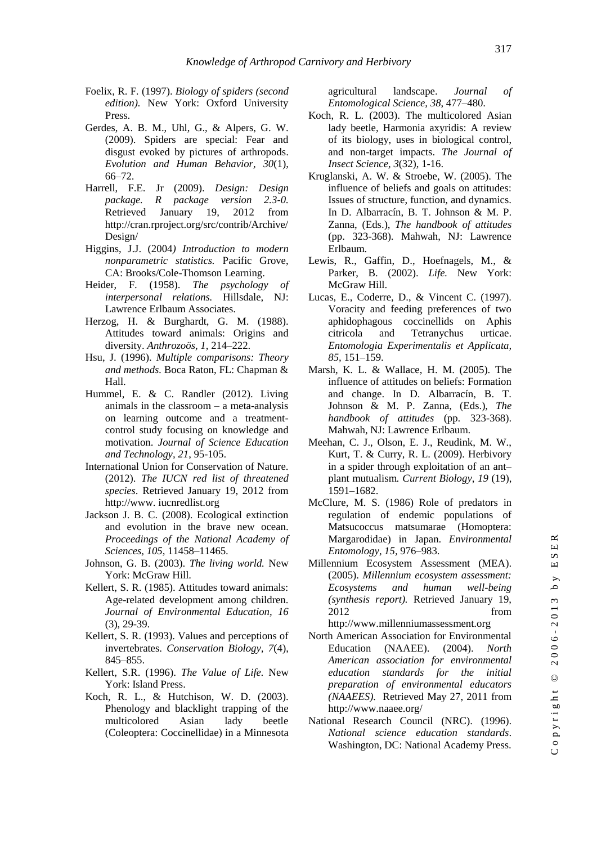- Foelix, R. F. (1997). *Biology of spiders (second edition).* New York: Oxford University Press.
- Gerdes, A. B. M., Uhl, G., & Alpers, G. W. (2009). Spiders are special: Fear and disgust evoked by pictures of arthropods. *Evolution and Human Behavior, 30*(1), 66–72.
- Harrell, F.E. Jr (2009). *Design: Design package. R package version 2.3-0.* Retrieved January 19, 2012 from http://cran.rproject.org/src/contrib/Archive/ Design/
- Higgins, J.J. (2004*) Introduction to modern nonparametric statistics.* Pacific Grove, CA: Brooks/Cole-Thomson Learning.
- Heider, F. (1958). *The psychology of interpersonal relations.* Hillsdale, NJ: Lawrence Erlbaum Associates.
- Herzog, H. & Burghardt, G. M. (1988). Attitudes toward animals: Origins and diversity. *Anthrozoös, 1*, 214–222.
- Hsu, J. (1996). *Multiple comparisons: Theory and methods.* Boca Raton, FL: Chapman & Hall.
- Hummel, E. & C. Randler (2012). Living animals in the classroom – a meta-analysis on learning outcome and a treatmentcontrol study focusing on knowledge and motivation. *Journal of Science Education and Technology, 21*, 95-105.
- International Union for Conservation of Nature. (2012). *The IUCN red list of threatened species*. Retrieved January 19, 2012 from http://www. iucnredlist.org
- Jackson J. B. C. (2008). Ecological extinction and evolution in the brave new ocean. *Proceedings of the National Academy of Sciences, 105,* 11458–11465.
- Johnson, G. B. (2003). *The living world.* New York: McGraw Hill.
- Kellert, S. R. (1985). Attitudes toward animals: Age-related development among children. *Journal of Environmental Education, 16*  (3), 29-39.
- Kellert, S. R. (1993). Values and perceptions of invertebrates. *Conservation Biology, 7*(4), 845–855.
- Kellert, S.R. (1996). *The Value of Life.* New York: Island Press.
- Koch, R. L., & Hutchison, W. D. (2003). Phenology and blacklight trapping of the multicolored Asian lady beetle (Coleoptera: Coccinellidae) in a Minnesota

agricultural landscape. *Journal of Entomological Science, 38*, 477–480.

- Koch, R. L. (2003). The multicolored Asian lady beetle, Harmonia axyridis: A review of its biology, uses in biological control, and non-target impacts. *The Journal of Insect Science, 3*(32), 1-16.
- Kruglanski, A. W. & Stroebe, W. (2005). The influence of beliefs and goals on attitudes: Issues of structure, function, and dynamics. In D. Albarracín, B. T. Johnson & M. P. Zanna, (Eds.), *The handbook of attitudes* (pp. 323-368). Mahwah, NJ: Lawrence Erlbaum.
- Lewis, R., Gaffin, D., Hoefnagels, M., & Parker, B. (2002). *Life.* New York: McGraw Hill.
- Lucas, E., Coderre, D., & Vincent C. (1997). Voracity and feeding preferences of two aphidophagous coccinellids on Aphis citricola and Tetranychus urticae. *Entomologia Experimentalis et Applicata, 85,* 151–159.
- Marsh, K. L. & Wallace, H. M. (2005). The influence of attitudes on beliefs: Formation and change. In D. Albarracín, B. T. Johnson & M. P. Zanna, (Eds.), *The handbook of attitudes* (pp. 323-368). Mahwah, NJ: Lawrence Erlbaum.
- Meehan, C. J., Olson, E. J., Reudink, M. W., Kurt, T. & Curry, R. L. (2009). Herbivory in a spider through exploitation of an ant– plant mutualism*. Current Biology*, *19* (19), 1591–1682.
- McClure, M. S. (1986) Role of predators in regulation of endemic populations of Matsucoccus matsumarae (Homoptera: Margarodidae) in Japan. *Environmental Entomology*, *15,* 976–983.
- Millennium Ecosystem Assessment (MEA). (2005). *Millennium ecosystem assessment: Ecosystems and human well-being (synthesis report).* Retrieved January 19, 2012 from http://www.millenniumassessment.org
- North American Association for Environmental Education (NAAEE). (2004). *North American association for environmental education standards for the initial preparation of environmental educators (NAAEES).* Retrieved May 27, 2011 from http://www.naaee.org/
- National Research Council (NRC). (1996). *National science education standards*. Washington, DC: National Academy Press.